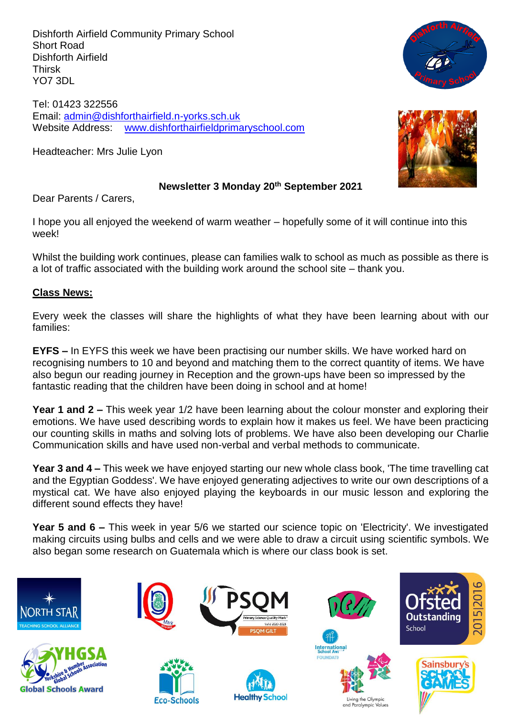Dishforth Airfield Community Primary School Short Road Dishforth Airfield Thirsk YO7 3DL

Tel: 01423 322556 Email: [admin@dishforthairfield.n-yorks.sch.uk](mailto:admin@dishforthairfield.n-yorks.sch.uk) Website Address: [www.dishforthairfieldprimaryschool.com](http://www.dishforthairfieldprimaryschool.com/)

Headteacher: Mrs Julie Lyon



# **Newsletter 3 Monday 20th September 2021**

Dear Parents / Carers,

I hope you all enjoyed the weekend of warm weather – hopefully some of it will continue into this week!

Whilst the building work continues, please can families walk to school as much as possible as there is a lot of traffic associated with the building work around the school site – thank you.

#### **Class News:**

Every week the classes will share the highlights of what they have been learning about with our families:

**EYFS –** In EYFS this week we have been practising our number skills. We have worked hard on recognising numbers to 10 and beyond and matching them to the correct quantity of items. We have also begun our reading journey in Reception and the grown-ups have been so impressed by the fantastic reading that the children have been doing in school and at home!

**Year 1 and 2 –** This week year 1/2 have been learning about the colour monster and exploring their emotions. We have used describing words to explain how it makes us feel. We have been practicing our counting skills in maths and solving lots of problems. We have also been developing our Charlie Communication skills and have used non-verbal and verbal methods to communicate.

**Year 3 and 4 –** This week we have enjoyed starting our new whole class book, 'The time travelling cat and the Egyptian Goddess'. We have enjoyed generating adjectives to write our own descriptions of a mystical cat. We have also enjoyed playing the keyboards in our music lesson and exploring the different sound effects they have!

**Year 5 and 6 –** This week in year 5/6 we started our science topic on 'Electricity'. We investigated making circuits using bulbs and cells and we were able to draw a circuit using scientific symbols. We also began some research on Guatemala which is where our class book is set.

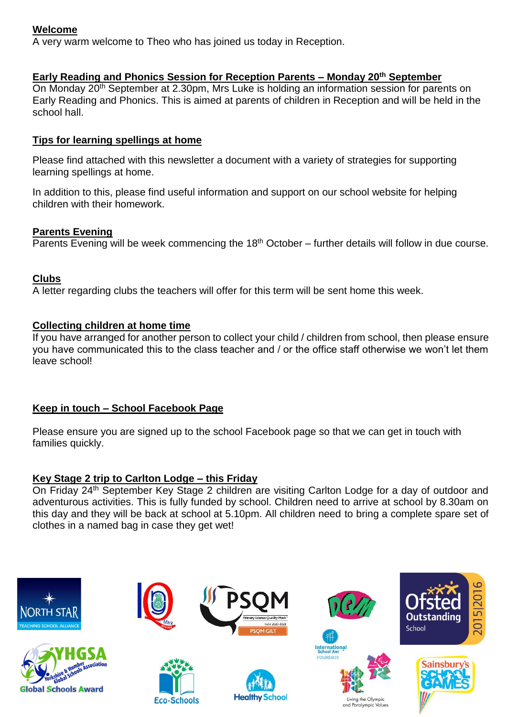# **Welcome**

A very warm welcome to Theo who has joined us today in Reception.

### **Early Reading and Phonics Session for Reception Parents – Monday 20th September**

On Monday 20th September at 2.30pm, Mrs Luke is holding an information session for parents on Early Reading and Phonics. This is aimed at parents of children in Reception and will be held in the school hall.

#### **Tips for learning spellings at home**

Please find attached with this newsletter a document with a variety of strategies for supporting learning spellings at home.

In addition to this, please find useful information and support on our school website for helping children with their homework.

#### **Parents Evening**

Parents Evening will be week commencing the  $18<sup>th</sup>$  October – further details will follow in due course.

#### **Clubs**

A letter regarding clubs the teachers will offer for this term will be sent home this week.

#### **Collecting children at home time**

If you have arranged for another person to collect your child / children from school, then please ensure you have communicated this to the class teacher and / or the office staff otherwise we won't let them leave school!

# **Keep in touch – School Facebook Page**

Please ensure you are signed up to the school Facebook page so that we can get in touch with families quickly.

#### **Key Stage 2 trip to Carlton Lodge – this Friday**

On Friday 24<sup>th</sup> September Key Stage 2 children are visiting Carlton Lodge for a day of outdoor and adventurous activities. This is fully funded by school. Children need to arrive at school by 8.30am on this day and they will be back at school at 5.10pm. All children need to bring a complete spare set of clothes in a named bag in case they get wet!

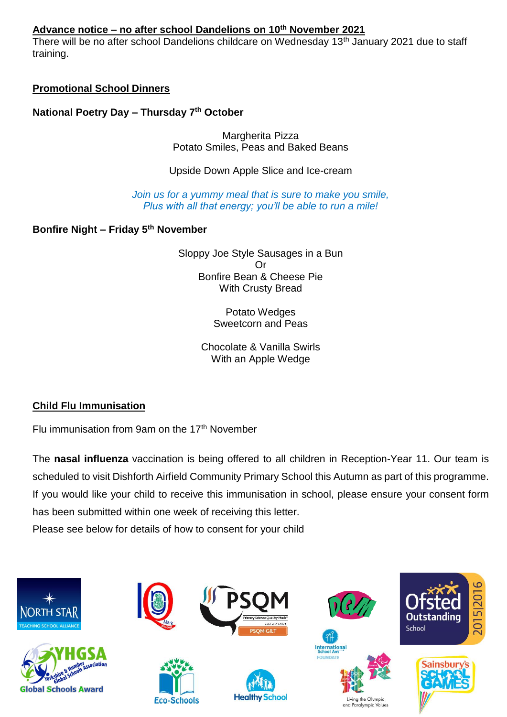# **Advance notice – no after school Dandelions on 10 th November 2021**

There will be no after school Dandelions childcare on Wednesday 13<sup>th</sup> January 2021 due to staff training.

# **Promotional School Dinners**

**National Poetry Day – Thursday 7th October**

Margherita Pizza Potato Smiles, Peas and Baked Beans

Upside Down Apple Slice and Ice-cream

*Join us for a yummy meal that is sure to make you smile, Plus with all that energy; you'll be able to run a mile!*

**Bonfire Night – Friday 5th November**

Sloppy Joe Style Sausages in a Bun Or Bonfire Bean & Cheese Pie With Crusty Bread

> Potato Wedges Sweetcorn and Peas

Chocolate & Vanilla Swirls With an Apple Wedge

# **Child Flu Immunisation**

Flu immunisation from 9am on the 17th November

The **nasal influenza** vaccination is being offered to all children in Reception-Year 11. Our team is scheduled to visit Dishforth Airfield Community Primary School this Autumn as part of this programme. If you would like your child to receive this immunisation in school, please ensure your consent form has been submitted within one week of receiving this letter.

Please see below for details of how to consent for your child

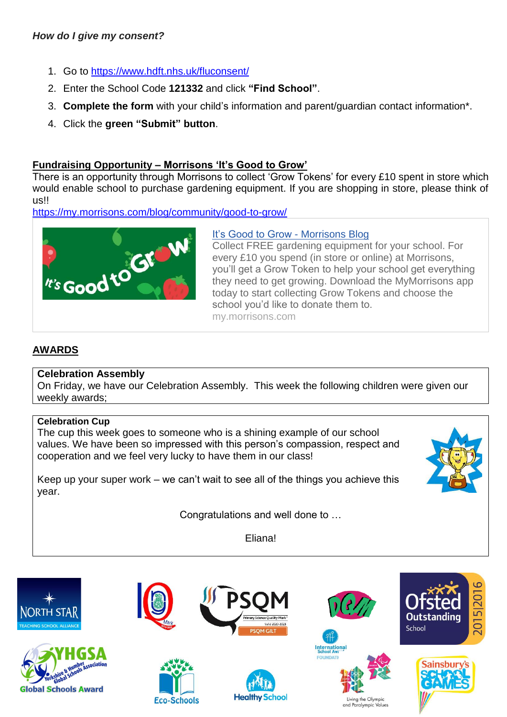# *How do I give my consent?*

- 1. Go to [https://www.hdft.nhs.uk/fluconsent/](https://www.hdft.nhs.uk/fluconsent)
- 2. Enter the School Code **121332** and click **"Find School"**.
- 3. **Complete the form** with your child's information and parent/guardian contact information\*.
- 4. Click the **green "Submit" button**.

# **Fundraising Opportunity – Morrisons 'It's Good to Grow'**

There is an opportunity through Morrisons to collect 'Grow Tokens' for every £10 spent in store which would enable school to purchase gardening equipment. If you are shopping in store, please think of us!!

<https://my.morrisons.com/blog/community/good-to-grow/>



# [It's Good to Grow -](https://my.morrisons.com/blog/community/good-to-grow/) Morrisons Blog

Collect FREE gardening equipment for your school. For every £10 you spend (in store or online) at Morrisons, you'll get a Grow Token to help your school get everything they need to get growing. Download the MyMorrisons app today to start collecting Grow Tokens and choose the school you'd like to donate them to. my.morrisons.com

# **AWARDS**

# **Celebration Assembly**

On Friday, we have our Celebration Assembly. This week the following children were given our weekly awards;

# **Celebration Cup**

The cup this week goes to someone who is a shining example of our school values. We have been so impressed with this person's compassion, respect and cooperation and we feel very lucky to have them in our class!



Keep up your super work – we can't wait to see all of the things you achieve this year.

Congratulations and well done to …

Eliana!

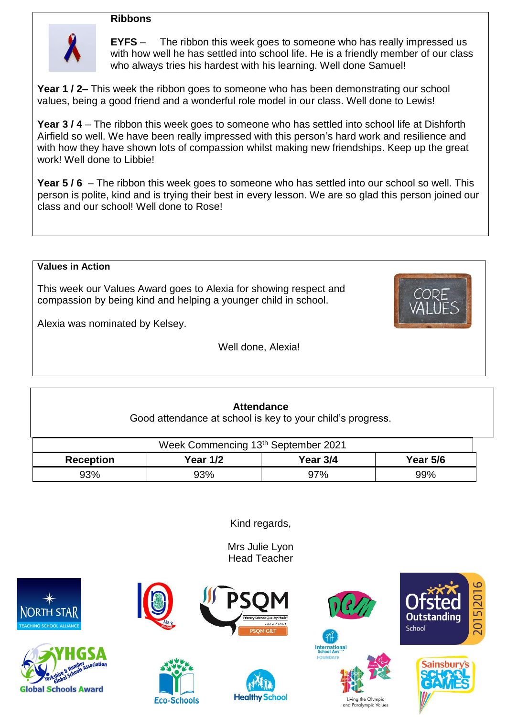#### **Ribbons**



**EYFS** – The ribbon this week goes to someone who has really impressed us with how well he has settled into school life. He is a friendly member of our class who always tries his hardest with his learning. Well done Samuel!

**Year 1 / 2–** This week the ribbon goes to someone who has been demonstrating our school values, being a good friend and a wonderful role model in our class. Well done to Lewis!

**Year 3 / 4** – The ribbon this week goes to someone who has settled into school life at Dishforth Airfield so well. We have been really impressed with this person's hard work and resilience and with how they have shown lots of compassion whilst making new friendships. Keep up the great work! Well done to Libbie!

**Year 5 / 6** – The ribbon this week goes to someone who has settled into our school so well. This person is polite, kind and is trying their best in every lesson. We are so glad this person joined our class and our school! Well done to Rose!

#### **Values in Action**

This week our Values Award goes to Alexia for showing respect and compassion by being kind and helping a younger child in school.



Alexia was nominated by Kelsey.

Well done, Alexia!

#### **Attendance** Good attendance at school is key to your child's progress.

| Week Commencing 13th September 2021 |                 |            |                 |  |  |  |
|-------------------------------------|-----------------|------------|-----------------|--|--|--|
| <b>Reception</b>                    | <b>Year 1/2</b> | Year $3/4$ | <b>Year 5/6</b> |  |  |  |
| 93%                                 | 93%             | 97%        | 99%             |  |  |  |

Kind regards,

Mrs Julie Lyon Head Teacher







**Eco-Schools** 







Living the Olympic and Paralympic